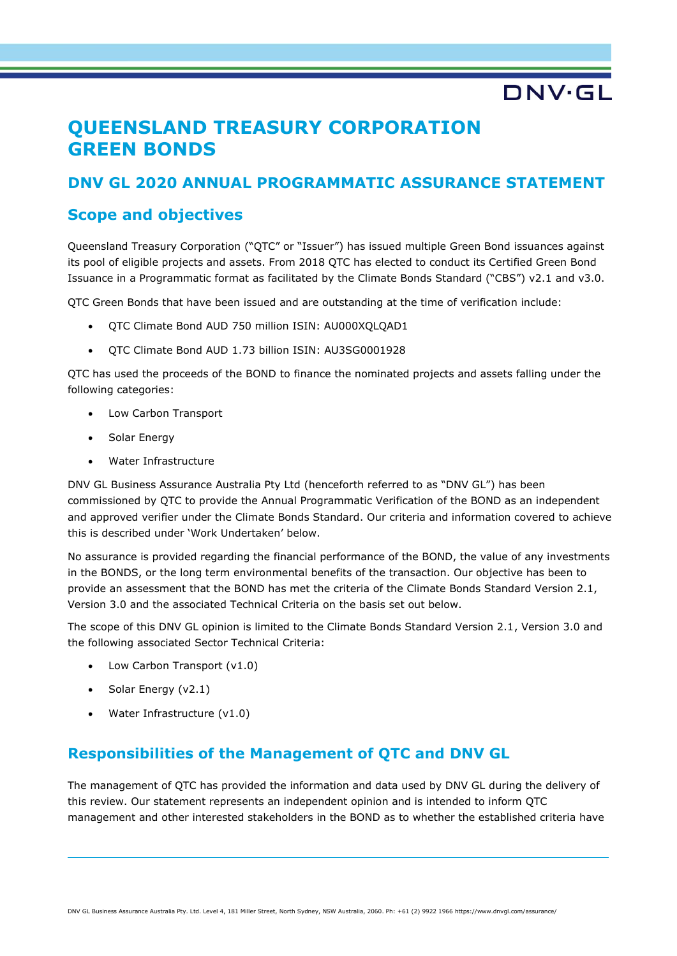# **DNV·GL**

## **QUEENSLAND TREASURY CORPORATION GREEN BONDS**

## **DNV GL 2020 ANNUAL PROGRAMMATIC ASSURANCE STATEMENT**

## **Scope and objectives**

Queensland Treasury Corporation ("QTC" or "Issuer") has issued multiple Green Bond issuances against its pool of eligible projects and assets. From 2018 QTC has elected to conduct its Certified Green Bond Issuance in a Programmatic format as facilitated by the Climate Bonds Standard ("CBS") v2.1 and v3.0.

QTC Green Bonds that have been issued and are outstanding at the time of verification include:

- QTC Climate Bond AUD 750 million ISIN: AU000XQLQAD1
- QTC Climate Bond AUD 1.73 billion ISIN: AU3SG0001928

QTC has used the proceeds of the BOND to finance the nominated projects and assets falling under the following categories:

- Low Carbon Transport
- Solar Energy
- Water Infrastructure

DNV GL Business Assurance Australia Pty Ltd (henceforth referred to as "DNV GL") has been commissioned by QTC to provide the Annual Programmatic Verification of the BOND as an independent and approved verifier under the Climate Bonds Standard. Our criteria and information covered to achieve this is described under 'Work Undertaken' below.

No assurance is provided regarding the financial performance of the BOND, the value of any investments in the BONDS, or the long term environmental benefits of the transaction. Our objective has been to provide an assessment that the BOND has met the criteria of the Climate Bonds Standard Version 2.1, Version 3.0 and the associated Technical Criteria on the basis set out below.

The scope of this DNV GL opinion is limited to the Climate Bonds Standard Version 2.1, Version 3.0 and the following associated Sector Technical Criteria:

- Low Carbon Transport (y1.0)
- Solar Energy (v2.1)
- Water Infrastructure (v1.0)

## **Responsibilities of the Management of QTC and DNV GL**

The management of QTC has provided the information and data used by DNV GL during the delivery of this review. Our statement represents an independent opinion and is intended to inform QTC management and other interested stakeholders in the BOND as to whether the established criteria have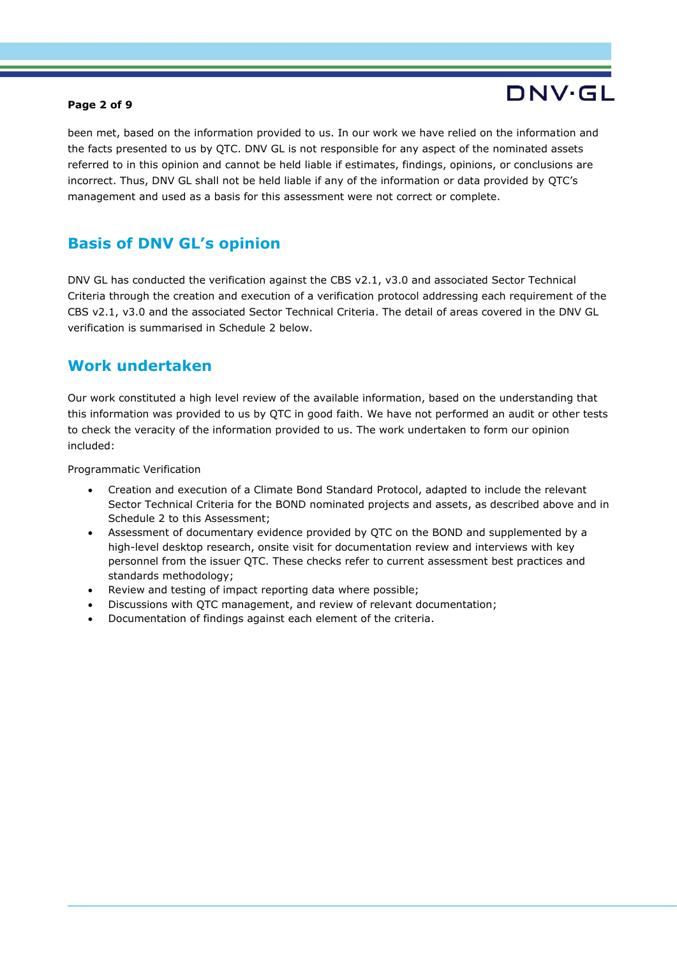### **Page 2 of 9**

# DNV·GL

been met, based on the information provided to us. In our work we have relied on the information and the facts presented to us by QTC. DNV GL is not responsible for any aspect of the nominated assets referred to in this opinion and cannot be held liable if estimates, findings, opinions, or conclusions are incorrect. Thus, DNV GL shall not be held liable if any of the information or data provided by QTC's management and used as a basis for this assessment were not correct or complete.

## **Basis of DNV GL's opinion**

DNV GL has conducted the verification against the CBS v2.1, v3.0 and associated Sector Technical Criteria through the creation and execution of a verification protocol addressing each requirement of the CBS v2.1, v3.0 and the associated Sector Technical Criteria. The detail of areas covered in the DNV GL verification is summarised in Schedule 2 below.

## **Work undertaken**

Our work constituted a high level review of the available information, based on the understanding that this information was provided to us by QTC in good faith. We have not performed an audit or other tests to check the veracity of the information provided to us. The work undertaken to form our opinion included:

Programmatic Verification

- Creation and execution of a Climate Bond Standard Protocol, adapted to include the relevant Sector Technical Criteria for the BOND nominated projects and assets, as described above and in Schedule 2 to this Assessment;
- Assessment of documentary evidence provided by QTC on the BOND and supplemented by a high-level desktop research, onsite visit for documentation review and interviews with key personnel from the issuer QTC. These checks refer to current assessment best practices and standards methodology;
- Review and testing of impact reporting data where possible;
- Discussions with QTC management, and review of relevant documentation;
- Documentation of findings against each element of the criteria.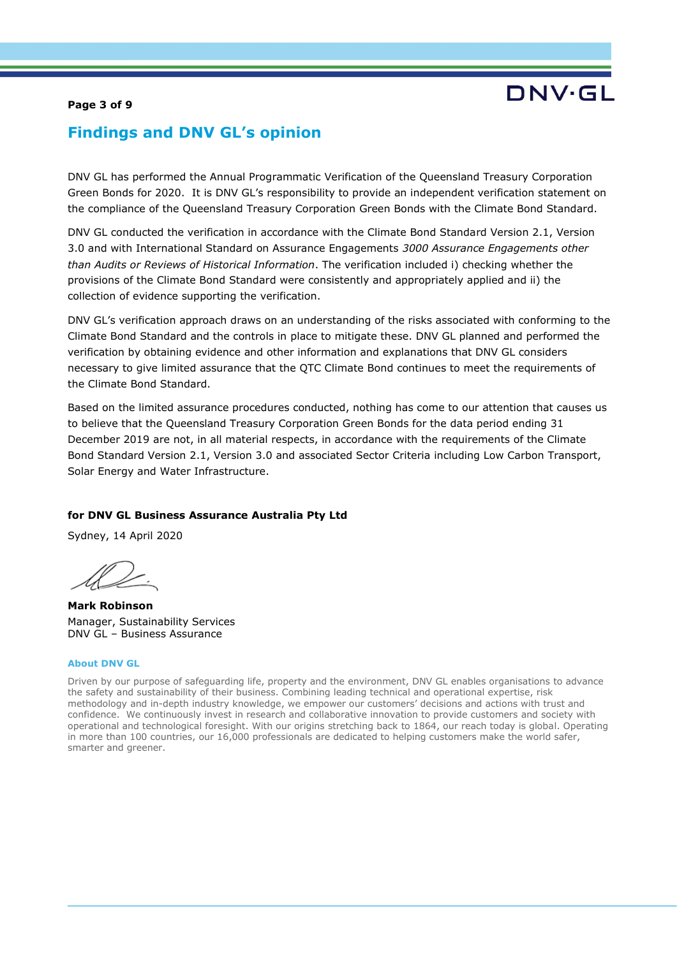### **Page 3 of 9**

## DNV·GL

## **Findings and DNV GL's opinion**

DNV GL has performed the Annual Programmatic Verification of the Queensland Treasury Corporation Green Bonds for 2020. It is DNV GL's responsibility to provide an independent verification statement on the compliance of the Queensland Treasury Corporation Green Bonds with the Climate Bond Standard.

DNV GL conducted the verification in accordance with the Climate Bond Standard Version 2.1, Version 3.0 and with International Standard on Assurance Engagements *3000 Assurance Engagements other than Audits or Reviews of Historical Information*. The verification included i) checking whether the provisions of the Climate Bond Standard were consistently and appropriately applied and ii) the collection of evidence supporting the verification.

DNV GL's verification approach draws on an understanding of the risks associated with conforming to the Climate Bond Standard and the controls in place to mitigate these. DNV GL planned and performed the verification by obtaining evidence and other information and explanations that DNV GL considers necessary to give limited assurance that the QTC Climate Bond continues to meet the requirements of the Climate Bond Standard.

Based on the limited assurance procedures conducted, nothing has come to our attention that causes us to believe that the Queensland Treasury Corporation Green Bonds for the data period ending 31 December 2019 are not, in all material respects, in accordance with the requirements of the Climate Bond Standard Version 2.1, Version 3.0 and associated Sector Criteria including Low Carbon Transport, Solar Energy and Water Infrastructure.

### **for DNV GL Business Assurance Australia Pty Ltd**

Sydney, 14 April 2020

**Mark Robinson** Manager, Sustainability Services DNV GL – Business Assurance

#### **About DNV GL**

Driven by our purpose of safeguarding life, property and the environment, DNV GL enables organisations to advance the safety and sustainability of their business. Combining leading technical and operational expertise, risk methodology and in-depth industry knowledge, we empower our customers' decisions and actions with trust and confidence. We continuously invest in research and collaborative innovation to provide customers and society with operational and technological foresight. With our origins stretching back to 1864, our reach today is global. Operating in more than 100 countries, our 16,000 professionals are dedicated to helping customers make the world safer, smarter and greener.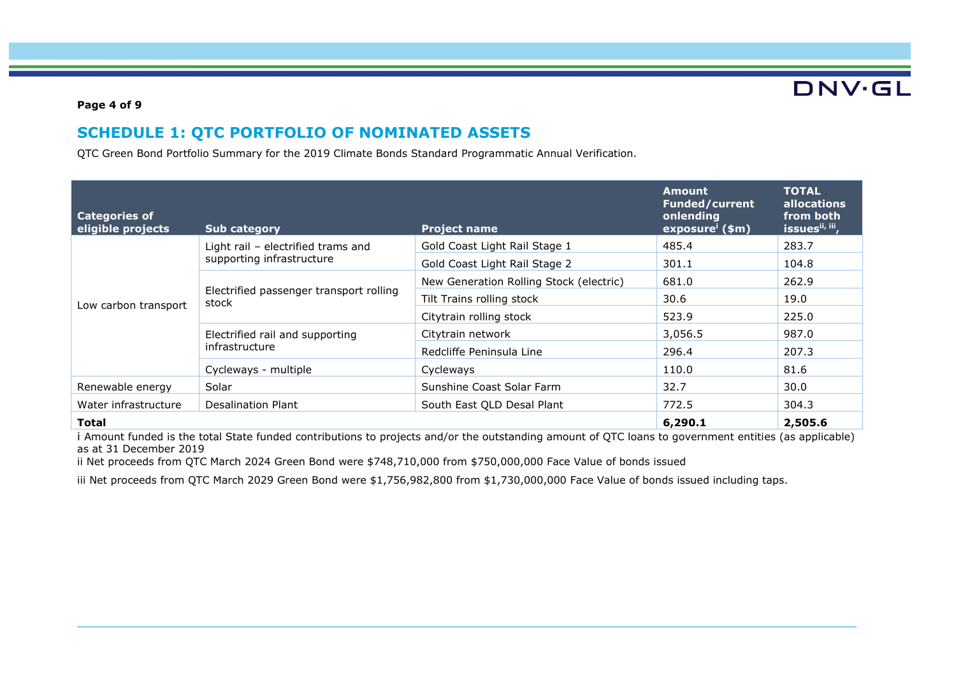**DNV·GL** 

### **Page 4 of 9**

## **SCHEDULE 1: QTC PORTFOLIO OF NOMINATED ASSETS**

QTC Green Bond Portfolio Summary for the 2019 Climate Bonds Standard Programmatic Annual Verification.

| <b>Categories of</b><br>eligible projects | <b>Sub category</b>                              | <b>Project name</b>                     | <b>Amount</b><br><b>Funded/current</b><br>onlending<br>exposure <sup>i</sup> (\$m) | <b>TOTAL</b><br><b>allocations</b><br>from both<br>issuesii, iii, |
|-------------------------------------------|--------------------------------------------------|-----------------------------------------|------------------------------------------------------------------------------------|-------------------------------------------------------------------|
|                                           | Light rail $-$ electrified trams and             | Gold Coast Light Rail Stage 1           | 485.4                                                                              | 283.7                                                             |
|                                           | supporting infrastructure                        | Gold Coast Light Rail Stage 2           | 301.1                                                                              | 104.8                                                             |
|                                           |                                                  | New Generation Rolling Stock (electric) | 681.0                                                                              | 262.9                                                             |
| Low carbon transport                      | Electrified passenger transport rolling<br>stock | Tilt Trains rolling stock               | 30.6                                                                               | 19.0                                                              |
|                                           |                                                  | Citytrain rolling stock                 | 523.9                                                                              | 225.0                                                             |
|                                           | Electrified rail and supporting                  | Citytrain network                       | 3,056.5                                                                            | 987.0                                                             |
|                                           | infrastructure                                   | Redcliffe Peninsula Line                | 296.4                                                                              | 207.3                                                             |
|                                           | Cycleways - multiple                             | Cycleways                               | 110.0                                                                              | 81.6                                                              |
| Renewable energy                          | Solar                                            | Sunshine Coast Solar Farm               | 32.7                                                                               | 30.0                                                              |
| Water infrastructure                      | Desalination Plant                               | South East QLD Desal Plant              | 772.5                                                                              | 304.3                                                             |
| <b>Total</b>                              |                                                  |                                         | 6,290.1                                                                            | 2,505.6                                                           |

i Amount funded is the total State funded contributions to projects and/or the outstanding amount of QTC loans to government entities (as applicable) as at 31 December 2019

ii Net proceeds from QTC March 2024 Green Bond were \$748,710,000 from \$750,000,000 Face Value of bonds issued

iii Net proceeds from QTC March 2029 Green Bond were \$1,756,982,800 from \$1,730,000,000 Face Value of bonds issued including taps.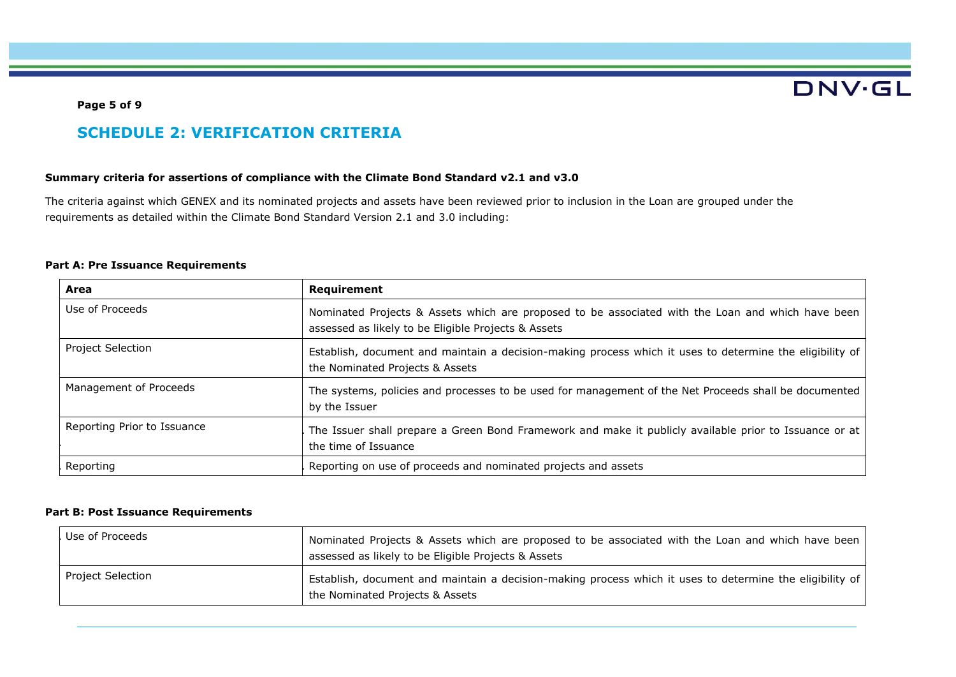**Page 5 of 9**

# **DNV·GL**

## **SCHEDULE 2: VERIFICATION CRITERIA**

### **Summary criteria for assertions of compliance with the Climate Bond Standard v2.1 and v3.0**

The criteria against which GENEX and its nominated projects and assets have been reviewed prior to inclusion in the Loan are grouped under the requirements as detailed within the Climate Bond Standard Version 2.1 and 3.0 including:

### **Part A: Pre Issuance Requirements**

| Area                                                                                                                                                                    | Requirement                                                                                                                                              |  |
|-------------------------------------------------------------------------------------------------------------------------------------------------------------------------|----------------------------------------------------------------------------------------------------------------------------------------------------------|--|
| Use of Proceeds                                                                                                                                                         | Nominated Projects & Assets which are proposed to be associated with the Loan and which have been<br>assessed as likely to be Eligible Projects & Assets |  |
| <b>Project Selection</b><br>Establish, document and maintain a decision-making process which it uses to determine the eligibility of<br>the Nominated Projects & Assets |                                                                                                                                                          |  |
| Management of Proceeds                                                                                                                                                  | The systems, policies and processes to be used for management of the Net Proceeds shall be documented<br>by the Issuer                                   |  |
| Reporting Prior to Issuance<br>The Issuer shall prepare a Green Bond Framework and make it publicly available prior to Issuance or at<br>the time of Issuance           |                                                                                                                                                          |  |
| Reporting                                                                                                                                                               | Reporting on use of proceeds and nominated projects and assets                                                                                           |  |

### **Part B: Post Issuance Requirements**

| Use of Proceeds   | Nominated Projects & Assets which are proposed to be associated with the Loan and which have been<br>assessed as likely to be Eligible Projects & Assets |  |
|-------------------|----------------------------------------------------------------------------------------------------------------------------------------------------------|--|
| Project Selection | Establish, document and maintain a decision-making process which it uses to determine the eligibility of<br>the Nominated Projects & Assets              |  |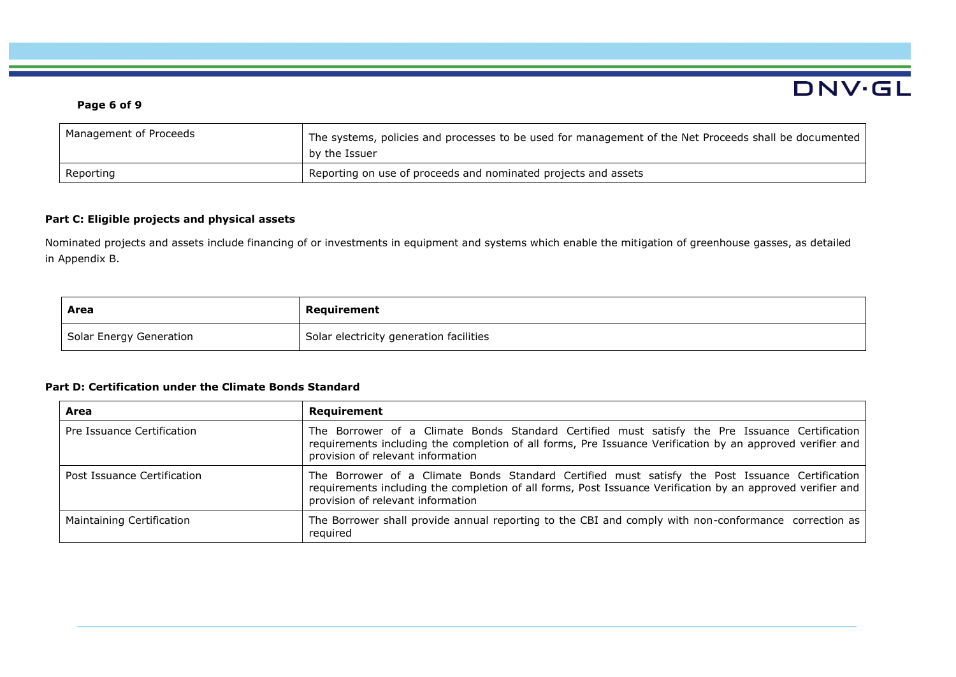### **Page 6 of 9**

| Management of Proceeds | The systems, policies and processes to be used for management of the Net Proceeds shall be documented<br>by the Issuer |  |
|------------------------|------------------------------------------------------------------------------------------------------------------------|--|
| Reporting              | Reporting on use of proceeds and nominated projects and assets                                                         |  |

DNV.GL

### **Part C: Eligible projects and physical assets**

Nominated projects and assets include financing of or investments in equipment and systems which enable the mitigation of greenhouse gasses, as detailed in Appendix B.

| Area                    | Requirement                             |
|-------------------------|-----------------------------------------|
| Solar Energy Generation | Solar electricity generation facilities |

### **Part D: Certification under the Climate Bonds Standard**

| Area                        | <b>Requirement</b>                                                                                                                                                                                                                                 |  |
|-----------------------------|----------------------------------------------------------------------------------------------------------------------------------------------------------------------------------------------------------------------------------------------------|--|
| Pre Issuance Certification  | The Borrower of a Climate Bonds Standard Certified must satisfy the Pre Issuance Certification<br>requirements including the completion of all forms, Pre Issuance Verification by an approved verifier and<br>provision of relevant information   |  |
| Post Issuance Certification | The Borrower of a Climate Bonds Standard Certified must satisfy the Post Issuance Certification<br>requirements including the completion of all forms, Post Issuance Verification by an approved verifier and<br>provision of relevant information |  |
| Maintaining Certification   | The Borrower shall provide annual reporting to the CBI and comply with non-conformance correction as<br>reguired                                                                                                                                   |  |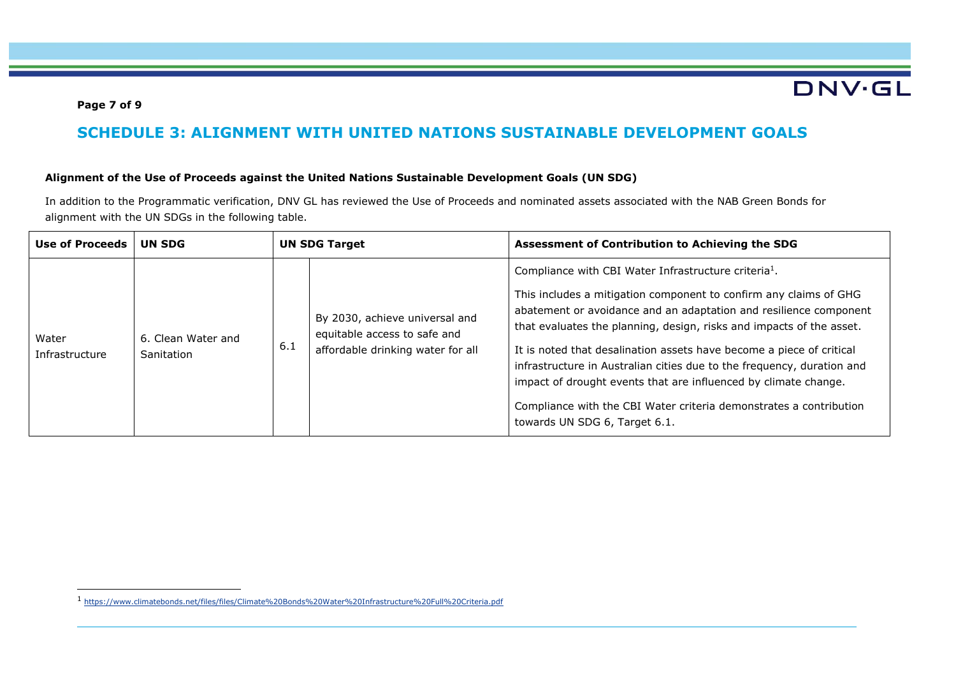**DNV·GL** 

### **Page 7 of 9**

## **SCHEDULE 3: ALIGNMENT WITH UNITED NATIONS SUSTAINABLE DEVELOPMENT GOALS**

### **Alignment of the Use of Proceeds against the United Nations Sustainable Development Goals (UN SDG)**

In addition to the Programmatic verification, DNV GL has reviewed the Use of Proceeds and nominated assets associated with the NAB Green Bonds for alignment with the UN SDGs in the following table.

| Use of Proceeds         | UN SDG                           |     | <b>UN SDG Target</b>                                                                                | Assessment of Contribution to Achieving the SDG                                                                                                                                                                                                                                                                                                                                                                                                                                                                                                                                                                |
|-------------------------|----------------------------------|-----|-----------------------------------------------------------------------------------------------------|----------------------------------------------------------------------------------------------------------------------------------------------------------------------------------------------------------------------------------------------------------------------------------------------------------------------------------------------------------------------------------------------------------------------------------------------------------------------------------------------------------------------------------------------------------------------------------------------------------------|
| Water<br>Infrastructure | 6. Clean Water and<br>Sanitation | 6.1 | By 2030, achieve universal and<br>equitable access to safe and<br>affordable drinking water for all | Compliance with CBI Water Infrastructure criteria <sup>1</sup> .<br>This includes a mitigation component to confirm any claims of GHG<br>abatement or avoidance and an adaptation and resilience component<br>that evaluates the planning, design, risks and impacts of the asset.<br>It is noted that desalination assets have become a piece of critical<br>infrastructure in Australian cities due to the frequency, duration and<br>impact of drought events that are influenced by climate change.<br>Compliance with the CBI Water criteria demonstrates a contribution<br>towards UN SDG 6, Target 6.1. |

<sup>1</sup> <https://www.climatebonds.net/files/files/Climate%20Bonds%20Water%20Infrastructure%20Full%20Criteria.pdf>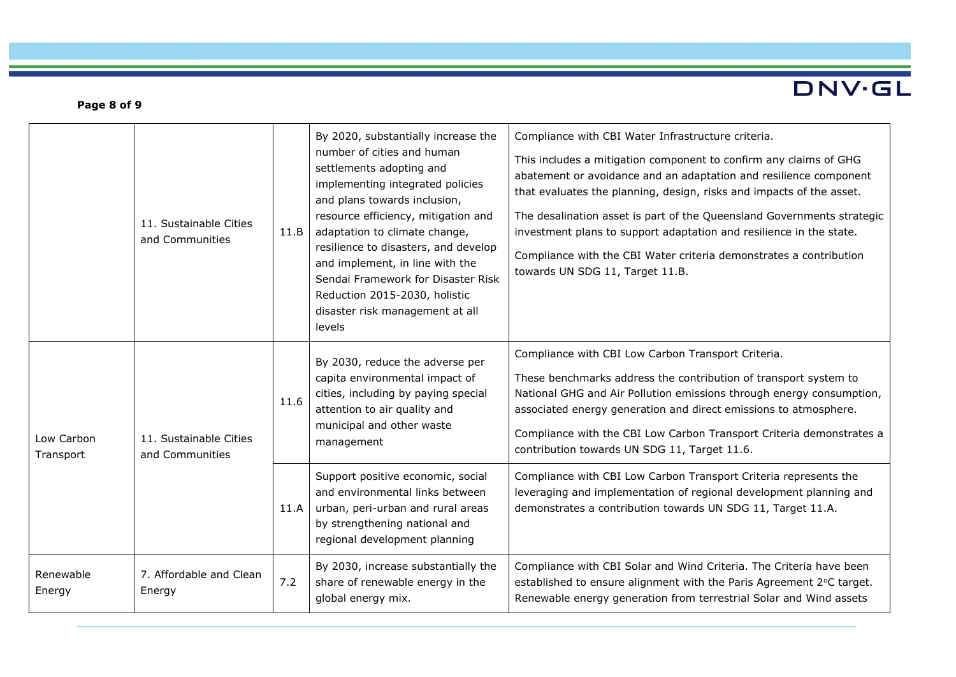# DNV.GL

### **Page 8 of 9**

|                         | 11. Sustainable Cities<br>and Communities | 11.B | By 2020, substantially increase the<br>number of cities and human<br>settlements adopting and<br>implementing integrated policies<br>and plans towards inclusion,<br>resource efficiency, mitigation and<br>adaptation to climate change,<br>resilience to disasters, and develop<br>and implement, in line with the<br>Sendai Framework for Disaster Risk<br>Reduction 2015-2030, holistic<br>disaster risk management at all<br>levels | Compliance with CBI Water Infrastructure criteria.<br>This includes a mitigation component to confirm any claims of GHG<br>abatement or avoidance and an adaptation and resilience component<br>that evaluates the planning, design, risks and impacts of the asset.<br>The desalination asset is part of the Queensland Governments strategic<br>investment plans to support adaptation and resilience in the state.<br>Compliance with the CBI Water criteria demonstrates a contribution<br>towards UN SDG 11, Target 11.B. |
|-------------------------|-------------------------------------------|------|------------------------------------------------------------------------------------------------------------------------------------------------------------------------------------------------------------------------------------------------------------------------------------------------------------------------------------------------------------------------------------------------------------------------------------------|--------------------------------------------------------------------------------------------------------------------------------------------------------------------------------------------------------------------------------------------------------------------------------------------------------------------------------------------------------------------------------------------------------------------------------------------------------------------------------------------------------------------------------|
| Low Carbon<br>Transport | 11. Sustainable Cities<br>and Communities | 11.6 | By 2030, reduce the adverse per<br>capita environmental impact of<br>cities, including by paying special<br>attention to air quality and<br>municipal and other waste<br>management                                                                                                                                                                                                                                                      | Compliance with CBI Low Carbon Transport Criteria.<br>These benchmarks address the contribution of transport system to<br>National GHG and Air Pollution emissions through energy consumption,<br>associated energy generation and direct emissions to atmosphere.<br>Compliance with the CBI Low Carbon Transport Criteria demonstrates a<br>contribution towards UN SDG 11, Target 11.6.                                                                                                                                     |
|                         |                                           | 11.A | Support positive economic, social<br>and environmental links between<br>urban, peri-urban and rural areas<br>by strengthening national and<br>regional development planning                                                                                                                                                                                                                                                              | Compliance with CBI Low Carbon Transport Criteria represents the<br>leveraging and implementation of regional development planning and<br>demonstrates a contribution towards UN SDG 11, Target 11.A.                                                                                                                                                                                                                                                                                                                          |
| Renewable<br>Energy     | 7. Affordable and Clean<br>Energy         | 7.2  | By 2030, increase substantially the<br>share of renewable energy in the<br>global energy mix.                                                                                                                                                                                                                                                                                                                                            | Compliance with CBI Solar and Wind Criteria. The Criteria have been<br>established to ensure alignment with the Paris Agreement 2°C target.<br>Renewable energy generation from terrestrial Solar and Wind assets                                                                                                                                                                                                                                                                                                              |